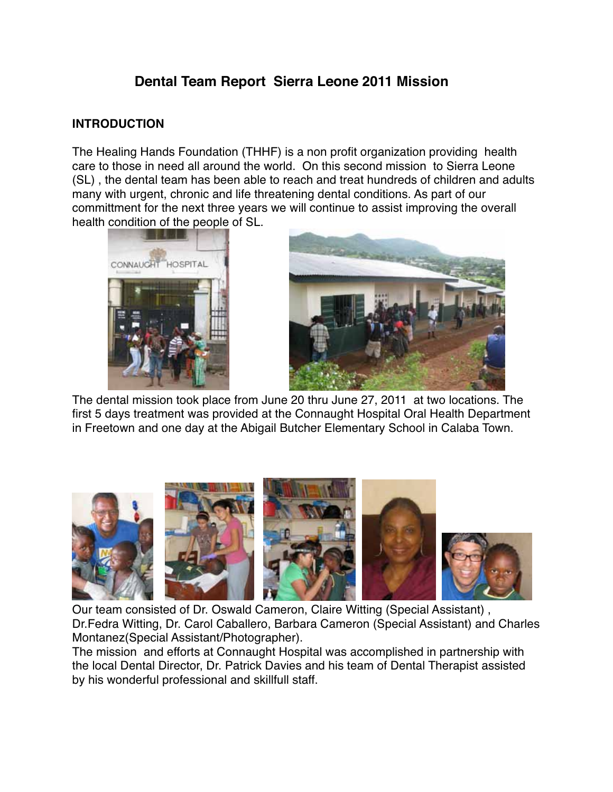## **Dental Team Report Sierra Leone 2011 Mission**

#### **INTRODUCTION**

The Healing Hands Foundation (THHF) is a non profit organization providing health care to those in need all around the world. On this second mission to Sierra Leone (SL) , the dental team has been able to reach and treat hundreds of children and adults many with urgent, chronic and life threatening dental conditions. As part of our committment for the next three years we will continue to assist improving the overall health condition of the people of SL.





The dental mission took place from June 20 thru June 27, 2011 at two locations. The first 5 days treatment was provided at the Connaught Hospital Oral Health Department in Freetown and one day at the Abigail Butcher Elementary School in Calaba Town.

Our team consisted of Dr. Oswald Cameron, Claire Witting (Special Assistant) , Dr.Fedra Witting, Dr. Carol Caballero, Barbara Cameron (Special Assistant) and Charles Montanez(Special Assistant/Photographer).

The mission and efforts at Connaught Hospital was accomplished in partnership with the local Dental Director, Dr. Patrick Davies and his team of Dental Therapist assisted by his wonderful professional and skillfull staff.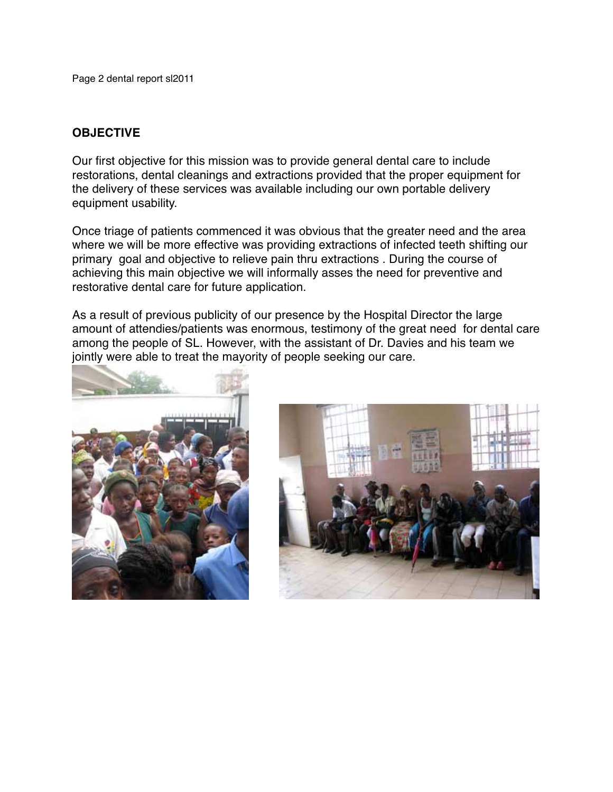Page 2 dental report sl2011

#### **OBJECTIVE**

Our first objective for this mission was to provide general dental care to include restorations, dental cleanings and extractions provided that the proper equipment for the delivery of these services was available including our own portable delivery equipment usability.

Once triage of patients commenced it was obvious that the greater need and the area where we will be more effective was providing extractions of infected teeth shifting our primary goal and objective to relieve pain thru extractions . During the course of achieving this main objective we will informally asses the need for preventive and restorative dental care for future application.

As a result of previous publicity of our presence by the Hospital Director the large amount of attendies/patients was enormous, testimony of the great need for dental care among the people of SL. However, with the assistant of Dr. Davies and his team we jointly were able to treat the mayority of people seeking our care.



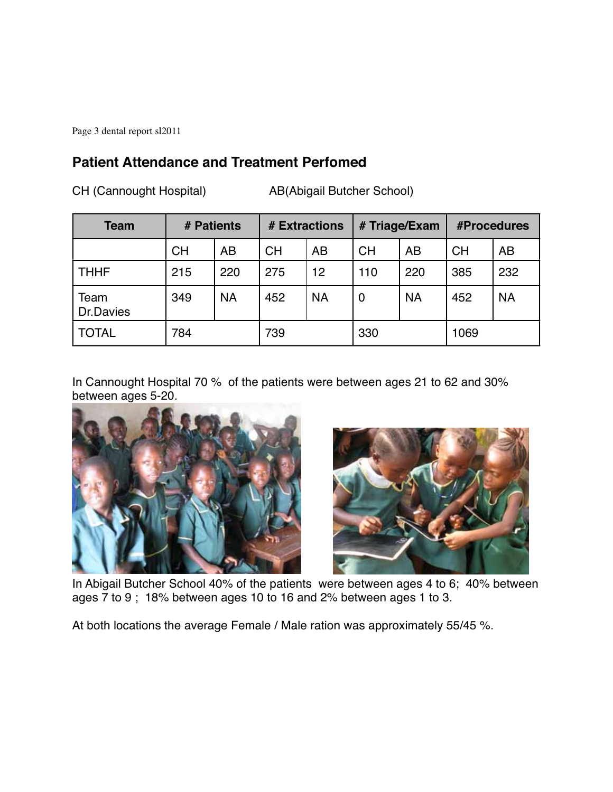Page 3 dental report sl2011

#### **Patient Attendance and Treatment Perfomed**

CH (Cannought Hospital) AB(Abigail Butcher School)

| <b>Team</b>       | # Patients |           | # Extractions |           | # Triage/Exam  |           | #Procedures |           |
|-------------------|------------|-----------|---------------|-----------|----------------|-----------|-------------|-----------|
|                   | <b>CH</b>  | AB        | <b>CH</b>     | <b>AB</b> | <b>CH</b>      | AB        | <b>CH</b>   | AB        |
| <b>THHF</b>       | 215        | 220       | 275           | 12        | 110            | 220       | 385         | 232       |
| Team<br>Dr.Davies | 349        | <b>NA</b> | 452           | <b>NA</b> | $\overline{0}$ | <b>NA</b> | 452         | <b>NA</b> |
| <b>TOTAL</b>      | 784        |           | 739           |           | 330            |           | 1069        |           |

In Cannought Hospital 70 % of the patients were between ages 21 to 62 and 30% between ages 5-20.





In Abigail Butcher School 40% of the patients were between ages 4 to 6; 40% between ages 7 to 9 ; 18% between ages 10 to 16 and 2% between ages 1 to 3.

At both locations the average Female / Male ration was approximately 55/45 %.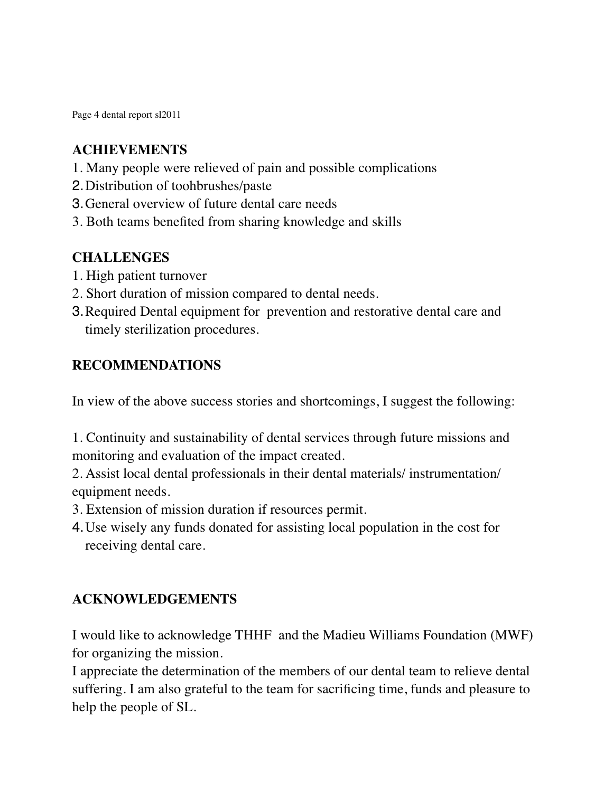Page 4 dental report sl2011

#### **ACHIEVEMENTS**

- 1. Many people were relieved of pain and possible complications
- 2.Distribution of toohbrushes/paste
- 3.General overview of future dental care needs
- 3. Both teams benefited from sharing knowledge and skills

### **CHALLENGES**

- 1. High patient turnover
- 2. Short duration of mission compared to dental needs.
- 3.Required Dental equipment for prevention and restorative dental care and timely sterilization procedures.

### **RECOMMENDATIONS**

In view of the above success stories and shortcomings, I suggest the following:

1. Continuity and sustainability of dental services through future missions and monitoring and evaluation of the impact created.

2. Assist local dental professionals in their dental materials/ instrumentation/ equipment needs.

- 3. Extension of mission duration if resources permit.
- 4.Use wisely any funds donated for assisting local population in the cost for receiving dental care.

# **ACKNOWLEDGEMENTS**

I would like to acknowledge THHF and the Madieu Williams Foundation (MWF) for organizing the mission.

I appreciate the determination of the members of our dental team to relieve dental suffering. I am also grateful to the team for sacrificing time, funds and pleasure to help the people of SL.